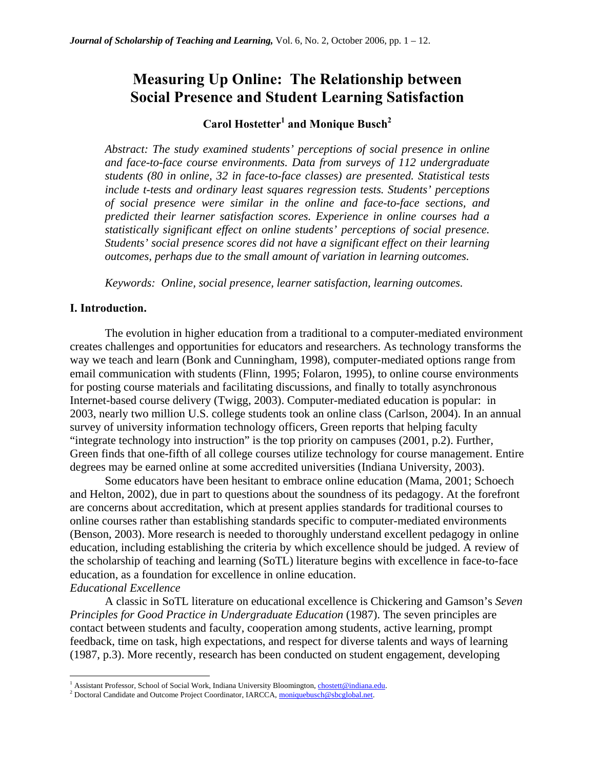# **Measuring Up Online: The Relationship between Social Presence and Student Learning Satisfaction**

# $\bf Card Hostetter<sup>1</sup>$  and Monique Busch<sup>2</sup>

*Abstract: The study examined students' perceptions of social presence in online and face-to-face course environments. Data from surveys of 112 undergraduate students (80 in online, 32 in face-to-face classes) are presented. Statistical tests include t-tests and ordinary least squares regression tests. Students' perceptions of social presence were similar in the online and face-to-face sections, and predicted their learner satisfaction scores. Experience in online courses had a statistically significant effect on online students' perceptions of social presence. Students' social presence scores did not have a significant effect on their learning outcomes, perhaps due to the small amount of variation in learning outcomes.* 

*Keywords: Online, social presence, learner satisfaction, learning outcomes.* 

#### **I. Introduction.**

 $\overline{a}$ 

The evolution in higher education from a traditional to a computer-mediated environment creates challenges and opportunities for educators and researchers. As technology transforms the way we teach and learn (Bonk and Cunningham, 1998), computer-mediated options range from email communication with students (Flinn, 1995; Folaron, 1995), to online course environments for posting course materials and facilitating discussions, and finally to totally asynchronous Internet-based course delivery (Twigg, 2003). Computer-mediated education is popular: in 2003, nearly two million U.S. college students took an online class (Carlson, 2004). In an annual survey of university information technology officers, Green reports that helping faculty "integrate technology into instruction" is the top priority on campuses (2001, p.2). Further, Green finds that one-fifth of all college courses utilize technology for course management. Entire degrees may be earned online at some accredited universities (Indiana University, 2003).

Some educators have been hesitant to embrace online education (Mama, 2001; Schoech and Helton, 2002), due in part to questions about the soundness of its pedagogy. At the forefront are concerns about accreditation, which at present applies standards for traditional courses to online courses rather than establishing standards specific to computer-mediated environments (Benson, 2003). More research is needed to thoroughly understand excellent pedagogy in online education, including establishing the criteria by which excellence should be judged. A review of the scholarship of teaching and learning (SoTL) literature begins with excellence in face-to-face education, as a foundation for excellence in online education. *Educational Excellence*

A classic in SoTL literature on educational excellence is Chickering and Gamson's *Seven Principles for Good Practice in Undergraduate Education* (1987). The seven principles are contact between students and faculty, cooperation among students, active learning, prompt feedback, time on task, high expectations, and respect for diverse talents and ways of learning (1987, p.3). More recently, research has been conducted on student engagement, developing

<sup>&</sup>lt;sup>1</sup> Assistant Professor, School of Social Work, Indiana University Bloomington, chostett@indiana.edu. <sup>2</sup> Dectoral Condidate and Outcome Project Coordinator, IABCCA, moniquebuseb@eboalebal.net

Proctoral Candidate and Outcome Project Coordinator, IARCCA, moniquebusch@sbcglobal.net.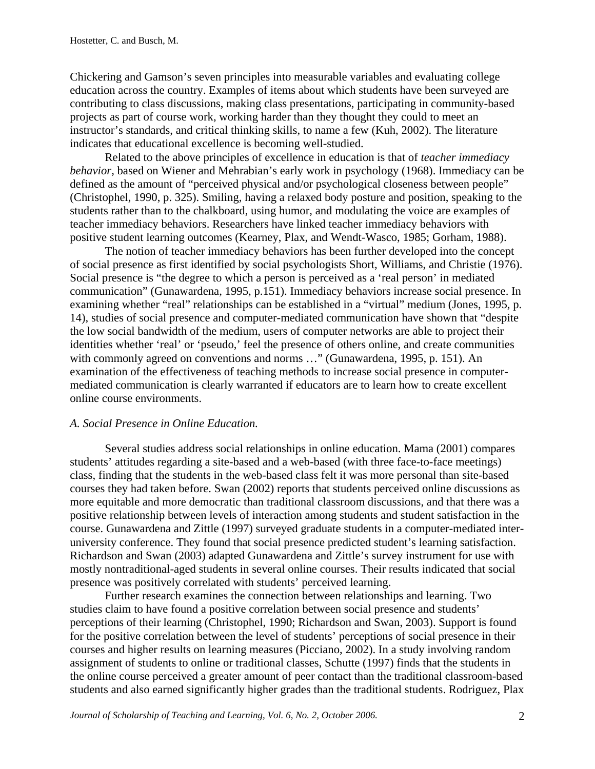Chickering and Gamson's seven principles into measurable variables and evaluating college education across the country. Examples of items about which students have been surveyed are contributing to class discussions, making class presentations, participating in community-based projects as part of course work, working harder than they thought they could to meet an instructor's standards, and critical thinking skills, to name a few (Kuh, 2002). The literature indicates that educational excellence is becoming well-studied.

Related to the above principles of excellence in education is that of *teacher immediacy behavior,* based on Wiener and Mehrabian's early work in psychology (1968). Immediacy can be defined as the amount of "perceived physical and/or psychological closeness between people" (Christophel, 1990, p. 325). Smiling, having a relaxed body posture and position, speaking to the students rather than to the chalkboard, using humor, and modulating the voice are examples of teacher immediacy behaviors. Researchers have linked teacher immediacy behaviors with positive student learning outcomes (Kearney, Plax, and Wendt-Wasco, 1985; Gorham, 1988).

The notion of teacher immediacy behaviors has been further developed into the concept of social presence as first identified by social psychologists Short, Williams, and Christie (1976). Social presence is "the degree to which a person is perceived as a 'real person' in mediated communication" (Gunawardena, 1995, p.151). Immediacy behaviors increase social presence. In examining whether "real" relationships can be established in a "virtual" medium (Jones, 1995, p. 14), studies of social presence and computer-mediated communication have shown that "despite the low social bandwidth of the medium, users of computer networks are able to project their identities whether 'real' or 'pseudo,' feel the presence of others online, and create communities with commonly agreed on conventions and norms ..." (Gunawardena, 1995, p. 151). An examination of the effectiveness of teaching methods to increase social presence in computermediated communication is clearly warranted if educators are to learn how to create excellent online course environments.

#### *A. Social Presence in Online Education.*

Several studies address social relationships in online education. Mama (2001) compares students' attitudes regarding a site-based and a web-based (with three face-to-face meetings) class, finding that the students in the web-based class felt it was more personal than site-based courses they had taken before. Swan (2002) reports that students perceived online discussions as more equitable and more democratic than traditional classroom discussions, and that there was a positive relationship between levels of interaction among students and student satisfaction in the course. Gunawardena and Zittle (1997) surveyed graduate students in a computer-mediated interuniversity conference. They found that social presence predicted student's learning satisfaction. Richardson and Swan (2003) adapted Gunawardena and Zittle's survey instrument for use with mostly nontraditional-aged students in several online courses. Their results indicated that social presence was positively correlated with students' perceived learning.

Further research examines the connection between relationships and learning. Two studies claim to have found a positive correlation between social presence and students' perceptions of their learning (Christophel, 1990; Richardson and Swan, 2003). Support is found for the positive correlation between the level of students' perceptions of social presence in their courses and higher results on learning measures (Picciano, 2002). In a study involving random assignment of students to online or traditional classes, Schutte (1997) finds that the students in the online course perceived a greater amount of peer contact than the traditional classroom-based students and also earned significantly higher grades than the traditional students. Rodriguez, Plax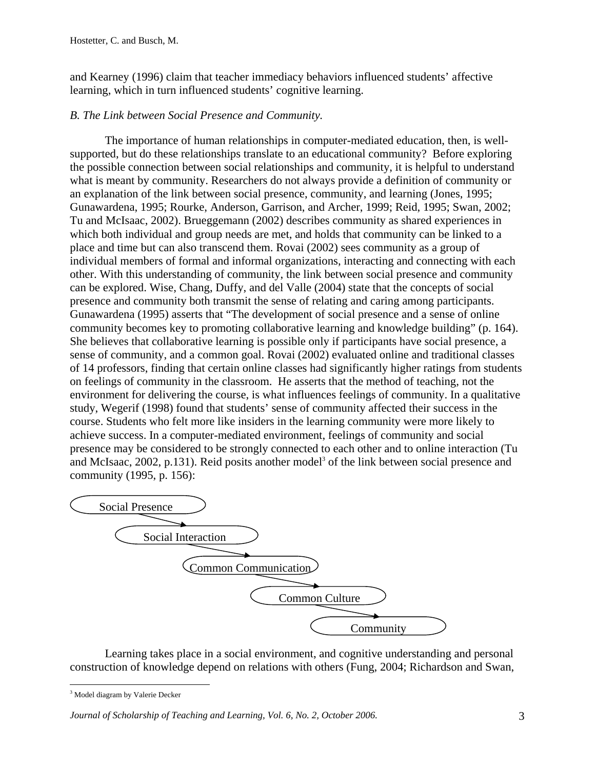and Kearney (1996) claim that teacher immediacy behaviors influenced students' affective learning, which in turn influenced students' cognitive learning.

# *B. The Link between Social Presence and Community.*

 The importance of human relationships in computer-mediated education, then, is wellsupported, but do these relationships translate to an educational community? Before exploring the possible connection between social relationships and community, it is helpful to understand what is meant by community. Researchers do not always provide a definition of community or an explanation of the link between social presence, community, and learning (Jones, 1995; Gunawardena, 1995; Rourke, Anderson, Garrison, and Archer, 1999; Reid, 1995; Swan, 2002; Tu and McIsaac, 2002). Brueggemann (2002) describes community as shared experiences in which both individual and group needs are met, and holds that community can be linked to a place and time but can also transcend them. Rovai (2002) sees community as a group of individual members of formal and informal organizations, interacting and connecting with each other. With this understanding of community, the link between social presence and community can be explored. Wise, Chang, Duffy, and del Valle (2004) state that the concepts of social presence and community both transmit the sense of relating and caring among participants. Gunawardena (1995) asserts that "The development of social presence and a sense of online community becomes key to promoting collaborative learning and knowledge building" (p. 164). She believes that collaborative learning is possible only if participants have social presence, a sense of community, and a common goal. Rovai (2002) evaluated online and traditional classes of 14 professors, finding that certain online classes had significantly higher ratings from students on feelings of community in the classroom. He asserts that the method of teaching, not the environment for delivering the course, is what influences feelings of community. In a qualitative study, Wegerif (1998) found that students' sense of community affected their success in the course. Students who felt more like insiders in the learning community were more likely to achieve success. In a computer-mediated environment, feelings of community and social presence may be considered to be strongly connected to each other and to online interaction (Tu and McIsaac, 2002, p.131). Reid posits another model<sup>3</sup> of the link between social presence and community (1995, p. 156):



Learning takes place in a social environment, and cognitive understanding and personal construction of knowledge depend on relations with others (Fung, 2004; Richardson and Swan,

 $\overline{a}$ <sup>3</sup> Model diagram by Valerie Decker

*Journal of Scholarship of Teaching and Learning, Vol. 6, No. 2, October 2006.*  $\frac{3}{3}$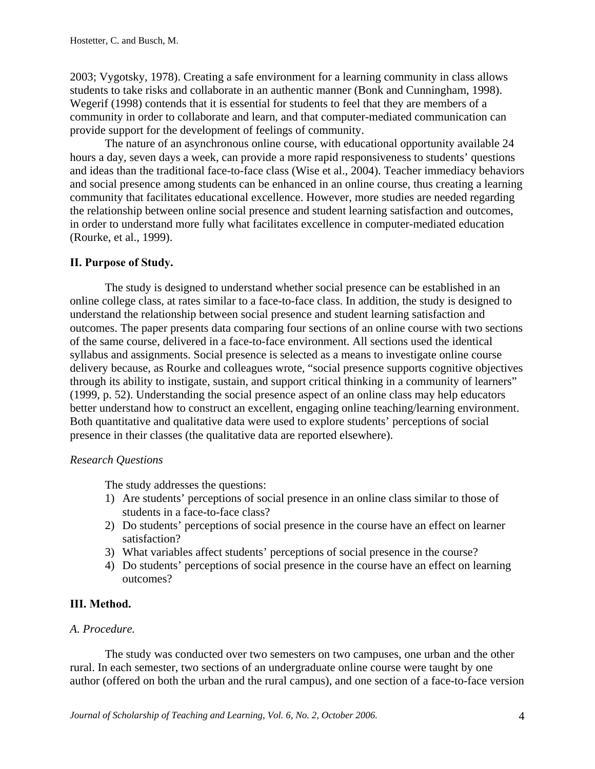2003; Vygotsky, 1978). Creating a safe environment for a learning community in class allows students to take risks and collaborate in an authentic manner (Bonk and Cunningham, 1998). Wegerif (1998) contends that it is essential for students to feel that they are members of a community in order to collaborate and learn, and that computer-mediated communication can provide support for the development of feelings of community.

The nature of an asynchronous online course, with educational opportunity available 24 hours a day, seven days a week, can provide a more rapid responsiveness to students' questions and ideas than the traditional face-to-face class (Wise et al., 2004). Teacher immediacy behaviors and social presence among students can be enhanced in an online course, thus creating a learning community that facilitates educational excellence. However, more studies are needed regarding the relationship between online social presence and student learning satisfaction and outcomes, in order to understand more fully what facilitates excellence in computer-mediated education (Rourke, et al., 1999).

# **II. Purpose of Study.**

The study is designed to understand whether social presence can be established in an online college class, at rates similar to a face-to-face class. In addition, the study is designed to understand the relationship between social presence and student learning satisfaction and outcomes. The paper presents data comparing four sections of an online course with two sections of the same course, delivered in a face-to-face environment. All sections used the identical syllabus and assignments. Social presence is selected as a means to investigate online course delivery because, as Rourke and colleagues wrote, "social presence supports cognitive objectives through its ability to instigate, sustain, and support critical thinking in a community of learners" (1999, p. 52). Understanding the social presence aspect of an online class may help educators better understand how to construct an excellent, engaging online teaching/learning environment. Both quantitative and qualitative data were used to explore students' perceptions of social presence in their classes (the qualitative data are reported elsewhere).

### *Research Questions*

The study addresses the questions:

- 1) Are students' perceptions of social presence in an online class similar to those of students in a face-to-face class?
- 2) Do students' perceptions of social presence in the course have an effect on learner satisfaction?
- 3) What variables affect students' perceptions of social presence in the course?
- 4) Do students' perceptions of social presence in the course have an effect on learning outcomes?

# **III. Method.**

### *A. Procedure.*

The study was conducted over two semesters on two campuses, one urban and the other rural. In each semester, two sections of an undergraduate online course were taught by one author (offered on both the urban and the rural campus), and one section of a face-to-face version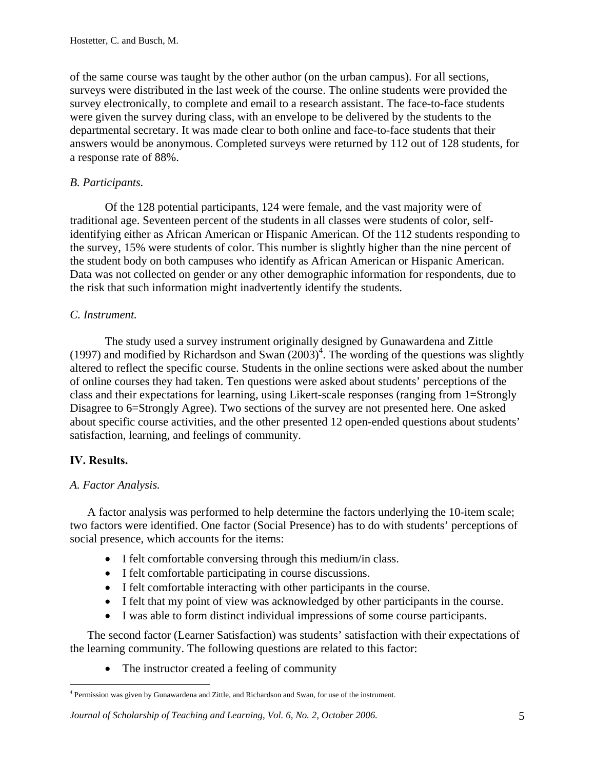of the same course was taught by the other author (on the urban campus). For all sections, surveys were distributed in the last week of the course. The online students were provided the survey electronically, to complete and email to a research assistant. The face-to-face students were given the survey during class, with an envelope to be delivered by the students to the departmental secretary. It was made clear to both online and face-to-face students that their answers would be anonymous. Completed surveys were returned by 112 out of 128 students, for a response rate of 88%.

# *B. Participants.*

Of the 128 potential participants, 124 were female, and the vast majority were of traditional age. Seventeen percent of the students in all classes were students of color, selfidentifying either as African American or Hispanic American. Of the 112 students responding to the survey, 15% were students of color. This number is slightly higher than the nine percent of the student body on both campuses who identify as African American or Hispanic American. Data was not collected on gender or any other demographic information for respondents, due to the risk that such information might inadvertently identify the students.

### *C. Instrument.*

The study used a survey instrument originally designed by Gunawardena and Zittle (1997) and modified by Richardson and Swan  $(2003)^4$ . The wording of the questions was slightly altered to reflect the specific course. Students in the online sections were asked about the number of online courses they had taken. Ten questions were asked about students' perceptions of the class and their expectations for learning, using Likert-scale responses (ranging from 1=Strongly Disagree to 6=Strongly Agree). Two sections of the survey are not presented here. One asked about specific course activities, and the other presented 12 open-ended questions about students' satisfaction, learning, and feelings of community.

### **IV. Results.**

### *A. Factor Analysis.*

A factor analysis was performed to help determine the factors underlying the 10-item scale; two factors were identified. One factor (Social Presence) has to do with students' perceptions of social presence, which accounts for the items:

- I felt comfortable conversing through this medium/in class.
- I felt comfortable participating in course discussions.
- I felt comfortable interacting with other participants in the course.
- I felt that my point of view was acknowledged by other participants in the course.
- I was able to form distinct individual impressions of some course participants.

The second factor (Learner Satisfaction) was students' satisfaction with their expectations of the learning community. The following questions are related to this factor:

• The instructor created a feeling of community

#### *Journal of Scholarship of Teaching and Learning, Vol. 6, No. 2, October 2006.* 5

 $\overline{a}$ <sup>4</sup> Permission was given by Gunawardena and Zittle, and Richardson and Swan, for use of the instrument.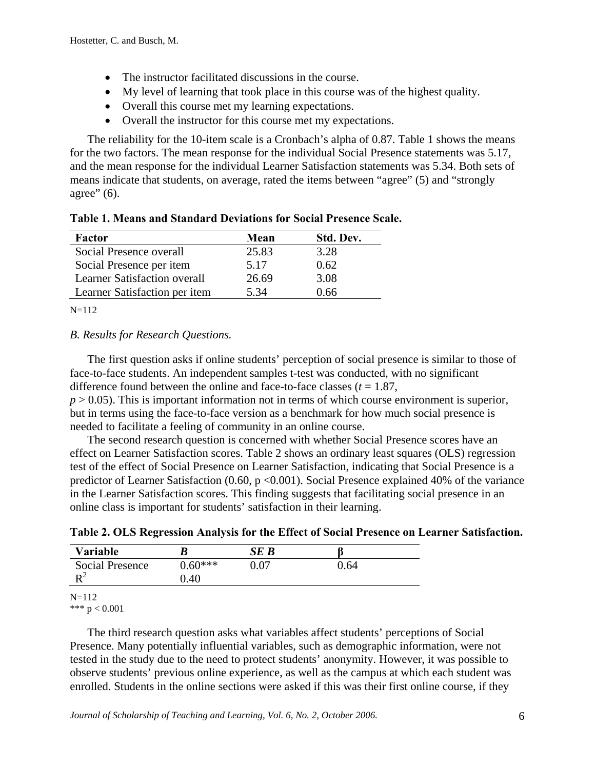- The instructor facilitated discussions in the course.
- My level of learning that took place in this course was of the highest quality.
- Overall this course met my learning expectations.
- Overall the instructor for this course met my expectations.

The reliability for the 10-item scale is a Cronbach's alpha of 0.87. Table 1 shows the means for the two factors. The mean response for the individual Social Presence statements was 5.17, and the mean response for the individual Learner Satisfaction statements was 5.34. Both sets of means indicate that students, on average, rated the items between "agree" (5) and "strongly agree"  $(6)$ .

| Factor                              | Mean  | Std. Dev. |
|-------------------------------------|-------|-----------|
| Social Presence overall             | 25.83 | 3.28      |
| Social Presence per item            | 5.17  | 0.62      |
| <b>Learner Satisfaction overall</b> | 26.69 | 3.08      |
| Learner Satisfaction per item       | 5.34  | 0.66      |

**Table 1. Means and Standard Deviations for Social Presence Scale.** 

 $N=112$ 

### *B. Results for Research Questions.*

The first question asks if online students' perception of social presence is similar to those of face-to-face students. An independent samples t-test was conducted, with no significant difference found between the online and face-to-face classes  $(t = 1.87)$ ,  $p > 0.05$ ). This is important information not in terms of which course environment is superior, but in terms using the face-to-face version as a benchmark for how much social presence is needed to facilitate a feeling of community in an online course.

The second research question is concerned with whether Social Presence scores have an effect on Learner Satisfaction scores. Table 2 shows an ordinary least squares (OLS) regression test of the effect of Social Presence on Learner Satisfaction, indicating that Social Presence is a predictor of Learner Satisfaction (0.60, p <0.001). Social Presence explained 40% of the variance in the Learner Satisfaction scores. This finding suggests that facilitating social presence in an online class is important for students' satisfaction in their learning.

**Table 2. OLS Regression Analysis for the Effect of Social Presence on Learner Satisfaction.** 

| Variable               |           | SE B |      |  |
|------------------------|-----------|------|------|--|
| <b>Social Presence</b> | $0.60***$ | 0.07 | 0.64 |  |
| $\mathbf{D}^2$         | 0.40      |      |      |  |

N=112

\*\*\*  $p < 0.001$ 

The third research question asks what variables affect students' perceptions of Social Presence. Many potentially influential variables, such as demographic information, were not tested in the study due to the need to protect students' anonymity. However, it was possible to observe students' previous online experience, as well as the campus at which each student was enrolled. Students in the online sections were asked if this was their first online course, if they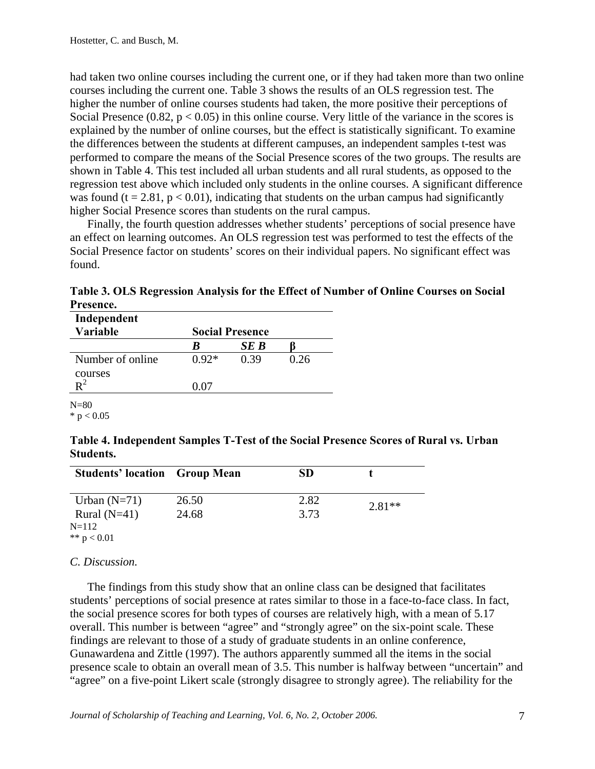had taken two online courses including the current one, or if they had taken more than two online courses including the current one. Table 3 shows the results of an OLS regression test. The higher the number of online courses students had taken, the more positive their perceptions of Social Presence  $(0.82, p < 0.05)$  in this online course. Very little of the variance in the scores is explained by the number of online courses, but the effect is statistically significant. To examine the differences between the students at different campuses, an independent samples t-test was performed to compare the means of the Social Presence scores of the two groups. The results are shown in Table 4. This test included all urban students and all rural students, as opposed to the regression test above which included only students in the online courses. A significant difference was found ( $t = 2.81$ ,  $p < 0.01$ ), indicating that students on the urban campus had significantly higher Social Presence scores than students on the rural campus.

Finally, the fourth question addresses whether students' perceptions of social presence have an effect on learning outcomes. An OLS regression test was performed to test the effects of the Social Presence factor on students' scores on their individual papers. No significant effect was found.

**Table 3. OLS Regression Analysis for the Effect of Number of Online Courses on Social Presence.** 

| Independent      |                        |      |      |
|------------------|------------------------|------|------|
| <b>Variable</b>  | <b>Social Presence</b> |      |      |
|                  | K                      | SE B |      |
| Number of online | $0.92*$                | 0.39 | 0.26 |
| courses          |                        |      |      |
|                  | በ በ7                   |      |      |

 $N=80$  $*$  p  $< 0.05$ 

| Table 4. Independent Samples T-Test of the Social Presence Scores of Rural vs. Urban |  |
|--------------------------------------------------------------------------------------|--|
| <b>Students.</b>                                                                     |  |

| <b>Students' location Group Mean</b> |       | <b>SD</b> |          |
|--------------------------------------|-------|-----------|----------|
| Urban $(N=71)$                       | 26.50 | 2.82      | $2.81**$ |
| Rural $(N=41)$                       | 24.68 | 3.73      |          |
| $N=112$                              |       |           |          |
| ** $p < 0.01$                        |       |           |          |

### *C. Discussion.*

The findings from this study show that an online class can be designed that facilitates students' perceptions of social presence at rates similar to those in a face-to-face class. In fact, the social presence scores for both types of courses are relatively high, with a mean of 5.17 overall. This number is between "agree" and "strongly agree" on the six-point scale. These findings are relevant to those of a study of graduate students in an online conference, Gunawardena and Zittle (1997). The authors apparently summed all the items in the social presence scale to obtain an overall mean of 3.5. This number is halfway between "uncertain" and "agree" on a five-point Likert scale (strongly disagree to strongly agree). The reliability for the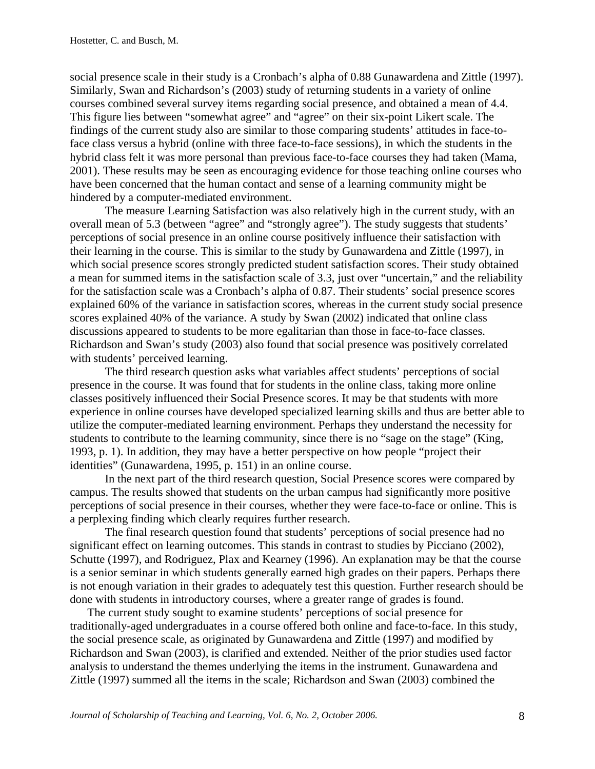social presence scale in their study is a Cronbach's alpha of 0.88 Gunawardena and Zittle (1997). Similarly, Swan and Richardson's (2003) study of returning students in a variety of online courses combined several survey items regarding social presence, and obtained a mean of 4.4. This figure lies between "somewhat agree" and "agree" on their six-point Likert scale. The findings of the current study also are similar to those comparing students' attitudes in face-toface class versus a hybrid (online with three face-to-face sessions), in which the students in the hybrid class felt it was more personal than previous face-to-face courses they had taken (Mama, 2001). These results may be seen as encouraging evidence for those teaching online courses who have been concerned that the human contact and sense of a learning community might be hindered by a computer-mediated environment.

The measure Learning Satisfaction was also relatively high in the current study, with an overall mean of 5.3 (between "agree" and "strongly agree"). The study suggests that students' perceptions of social presence in an online course positively influence their satisfaction with their learning in the course. This is similar to the study by Gunawardena and Zittle (1997), in which social presence scores strongly predicted student satisfaction scores. Their study obtained a mean for summed items in the satisfaction scale of 3.3, just over "uncertain," and the reliability for the satisfaction scale was a Cronbach's alpha of 0.87. Their students' social presence scores explained 60% of the variance in satisfaction scores, whereas in the current study social presence scores explained 40% of the variance. A study by Swan (2002) indicated that online class discussions appeared to students to be more egalitarian than those in face-to-face classes. Richardson and Swan's study (2003) also found that social presence was positively correlated with students' perceived learning.

The third research question asks what variables affect students' perceptions of social presence in the course. It was found that for students in the online class, taking more online classes positively influenced their Social Presence scores. It may be that students with more experience in online courses have developed specialized learning skills and thus are better able to utilize the computer-mediated learning environment. Perhaps they understand the necessity for students to contribute to the learning community, since there is no "sage on the stage" (King, 1993, p. 1). In addition, they may have a better perspective on how people "project their identities" (Gunawardena, 1995, p. 151) in an online course.

In the next part of the third research question, Social Presence scores were compared by campus. The results showed that students on the urban campus had significantly more positive perceptions of social presence in their courses, whether they were face-to-face or online. This is a perplexing finding which clearly requires further research.

The final research question found that students' perceptions of social presence had no significant effect on learning outcomes. This stands in contrast to studies by Picciano (2002), Schutte (1997), and Rodriguez, Plax and Kearney (1996). An explanation may be that the course is a senior seminar in which students generally earned high grades on their papers. Perhaps there is not enough variation in their grades to adequately test this question. Further research should be done with students in introductory courses, where a greater range of grades is found.

The current study sought to examine students' perceptions of social presence for traditionally-aged undergraduates in a course offered both online and face-to-face. In this study, the social presence scale, as originated by Gunawardena and Zittle (1997) and modified by Richardson and Swan (2003), is clarified and extended. Neither of the prior studies used factor analysis to understand the themes underlying the items in the instrument. Gunawardena and Zittle (1997) summed all the items in the scale; Richardson and Swan (2003) combined the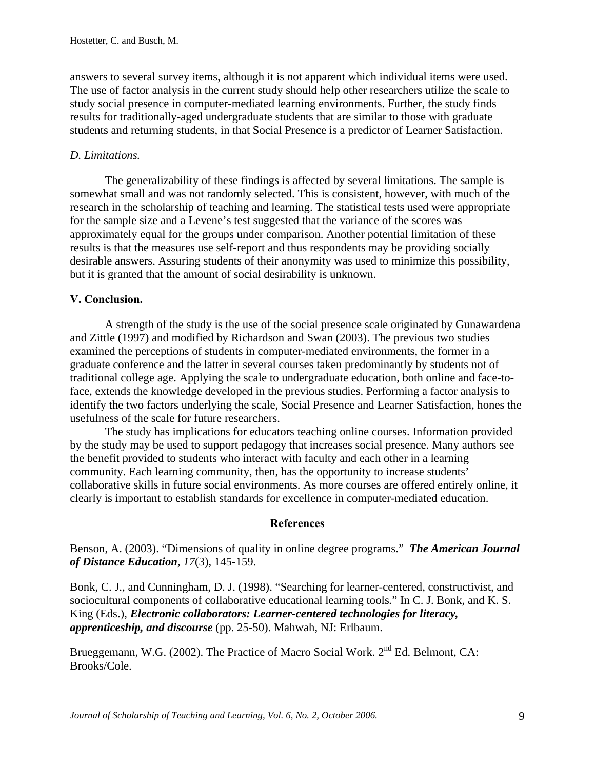answers to several survey items, although it is not apparent which individual items were used. The use of factor analysis in the current study should help other researchers utilize the scale to study social presence in computer-mediated learning environments. Further, the study finds results for traditionally-aged undergraduate students that are similar to those with graduate students and returning students, in that Social Presence is a predictor of Learner Satisfaction.

# *D. Limitations.*

The generalizability of these findings is affected by several limitations. The sample is somewhat small and was not randomly selected. This is consistent, however, with much of the research in the scholarship of teaching and learning. The statistical tests used were appropriate for the sample size and a Levene's test suggested that the variance of the scores was approximately equal for the groups under comparison. Another potential limitation of these results is that the measures use self-report and thus respondents may be providing socially desirable answers. Assuring students of their anonymity was used to minimize this possibility, but it is granted that the amount of social desirability is unknown.

# **V. Conclusion.**

A strength of the study is the use of the social presence scale originated by Gunawardena and Zittle (1997) and modified by Richardson and Swan (2003). The previous two studies examined the perceptions of students in computer-mediated environments, the former in a graduate conference and the latter in several courses taken predominantly by students not of traditional college age. Applying the scale to undergraduate education, both online and face-toface, extends the knowledge developed in the previous studies. Performing a factor analysis to identify the two factors underlying the scale, Social Presence and Learner Satisfaction, hones the usefulness of the scale for future researchers.

The study has implications for educators teaching online courses. Information provided by the study may be used to support pedagogy that increases social presence. Many authors see the benefit provided to students who interact with faculty and each other in a learning community. Each learning community, then, has the opportunity to increase students' collaborative skills in future social environments. As more courses are offered entirely online, it clearly is important to establish standards for excellence in computer-mediated education.

### **References**

Benson, A. (2003). "Dimensions of quality in online degree programs." *The American Journal of Distance Education, 17*(3), 145-159.

Bonk, C. J., and Cunningham, D. J. (1998). "Searching for learner-centered, constructivist, and sociocultural components of collaborative educational learning tools*.*" In C. J. Bonk, and K. S. King (Eds.), *Electronic collaborators: Learner-centered technologies for literacy, apprenticeship, and discourse* (pp. 25-50). Mahwah, NJ: Erlbaum.

Brueggemann, W.G. (2002). The Practice of Macro Social Work.  $2<sup>nd</sup> Ed$ . Belmont, CA: Brooks/Cole.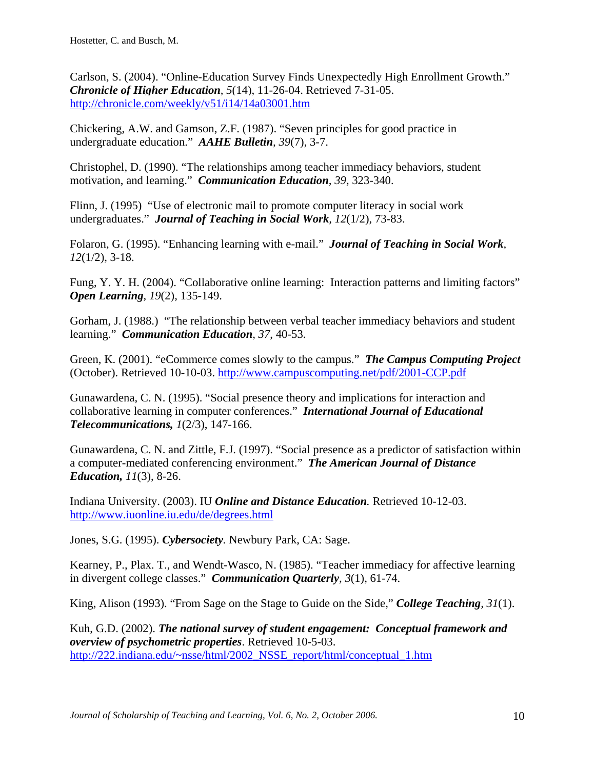Carlson, S. (2004). "Online-Education Survey Finds Unexpectedly High Enrollment Growth." *Chronicle of Higher Education, 5*(14), 11-26-04. Retrieved 7-31-05. http://chronicle.com/weekly/v51/i14/14a03001.htm

Chickering, A.W. and Gamson, Z.F. (1987). "Seven principles for good practice in undergraduate education." *AAHE Bulletin, 39*(7), 3-7.

Christophel, D. (1990). "The relationships among teacher immediacy behaviors, student motivation, and learning." *Communication Education, 39*, 323-340.

Flinn, J. (1995) "Use of electronic mail to promote computer literacy in social work undergraduates." *Journal of Teaching in Social Work, 12*(1/2), 73-83.

Folaron, G. (1995). "Enhancing learning with e-mail." *Journal of Teaching in Social Work, 12*(1/2), 3-18.

Fung, Y. Y. H. (2004). "Collaborative online learning: Interaction patterns and limiting factors" *Open Learning, 19*(2), 135-149.

Gorham, J. (1988.) "The relationship between verbal teacher immediacy behaviors and student learning." *Communication Education, 37*, 40-53.

Green, K. (2001). "eCommerce comes slowly to the campus." *The Campus Computing Project* (October). Retrieved 10-10-03. http://www.campuscomputing.net/pdf/2001-CCP.pdf

Gunawardena, C. N. (1995). "Social presence theory and implications for interaction and collaborative learning in computer conferences." *International Journal of Educational Telecommunications, 1*(2/3), 147-166.

Gunawardena, C. N. and Zittle, F.J. (1997). "Social presence as a predictor of satisfaction within a computer-mediated conferencing environment." *The American Journal of Distance Education, 11*(3), 8-26.

Indiana University. (2003). IU *Online and Distance Education.* Retrieved 10-12-03. http://www.iuonline.iu.edu/de/degrees.html

Jones, S.G. (1995). *Cybersociety.* Newbury Park, CA: Sage.

Kearney, P., Plax. T., and Wendt-Wasco, N. (1985). "Teacher immediacy for affective learning in divergent college classes." *Communication Quarterly, 3*(1), 61-74.

King, Alison (1993). "From Sage on the Stage to Guide on the Side," *College Teaching, 31*(1).

Kuh, G.D. (2002). *The national survey of student engagement: Conceptual framework and overview of psychometric properties*. Retrieved 10-5-03. http://222.indiana.edu/~nsse/html/2002\_NSSE\_report/html/conceptual\_1.htm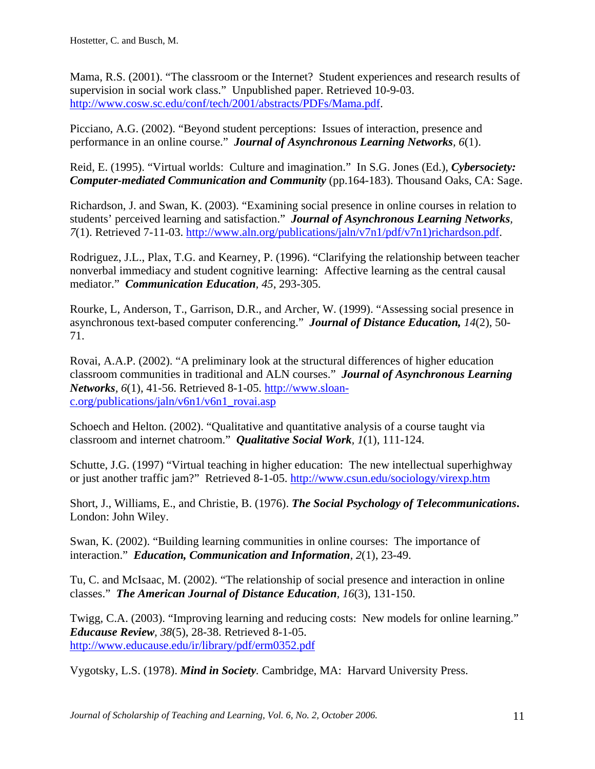Mama, R.S. (2001). "The classroom or the Internet? Student experiences and research results of supervision in social work class." Unpublished paper. Retrieved 10-9-03. http://www.cosw.sc.edu/conf/tech/2001/abstracts/PDFs/Mama.pdf.

Picciano, A.G. (2002). "Beyond student perceptions: Issues of interaction, presence and performance in an online course." *Journal of Asynchronous Learning Networks, 6*(1).

Reid, E. (1995). "Virtual worlds: Culture and imagination." In S.G. Jones (Ed.), *Cybersociety: Computer-mediated Communication and Community* (pp.164-183). Thousand Oaks, CA: Sage.

Richardson, J. and Swan, K. (2003). "Examining social presence in online courses in relation to students' perceived learning and satisfaction." *Journal of Asynchronous Learning Networks, 7*(1). Retrieved 7-11-03. http://www.aln.org/publications/jaln/v7n1/pdf/v7n1)richardson.pdf.

Rodriguez, J.L., Plax, T.G. and Kearney, P. (1996). "Clarifying the relationship between teacher nonverbal immediacy and student cognitive learning: Affective learning as the central causal mediator." *Communication Education, 45*, 293-305.

Rourke, L, Anderson, T., Garrison, D.R., and Archer, W. (1999). "Assessing social presence in asynchronous text-based computer conferencing." *Journal of Distance Education, 14*(2), 50- 71.

Rovai, A.A.P. (2002). "A preliminary look at the structural differences of higher education classroom communities in traditional and ALN courses." *Journal of Asynchronous Learning Networks, 6*(1), 41-56. Retrieved 8-1-05. http://www.sloanc.org/publications/jaln/v6n1/v6n1\_rovai.asp

Schoech and Helton. (2002). "Qualitative and quantitative analysis of a course taught via classroom and internet chatroom." *Qualitative Social Work, 1*(1), 111-124.

Schutte, J.G. (1997) "Virtual teaching in higher education: The new intellectual superhighway or just another traffic jam?" Retrieved 8-1-05. http://www.csun.edu/sociology/virexp.htm

Short, J., Williams, E., and Christie, B. (1976). *The Social Psychology of Telecommunications***.**  London: John Wiley.

Swan, K. (2002). "Building learning communities in online courses: The importance of interaction." *Education, Communication and Information, 2*(1), 23-49.

Tu, C. and McIsaac, M. (2002). "The relationship of social presence and interaction in online classes." *The American Journal of Distance Education, 16*(3), 131-150.

Twigg, C.A. (2003). "Improving learning and reducing costs: New models for online learning." *Educause Review, 38*(5), 28-38. Retrieved 8-1-05. http://www.educause.edu/ir/library/pdf/erm0352.pdf

Vygotsky, L.S. (1978). *Mind in Society.* Cambridge, MA: Harvard University Press.